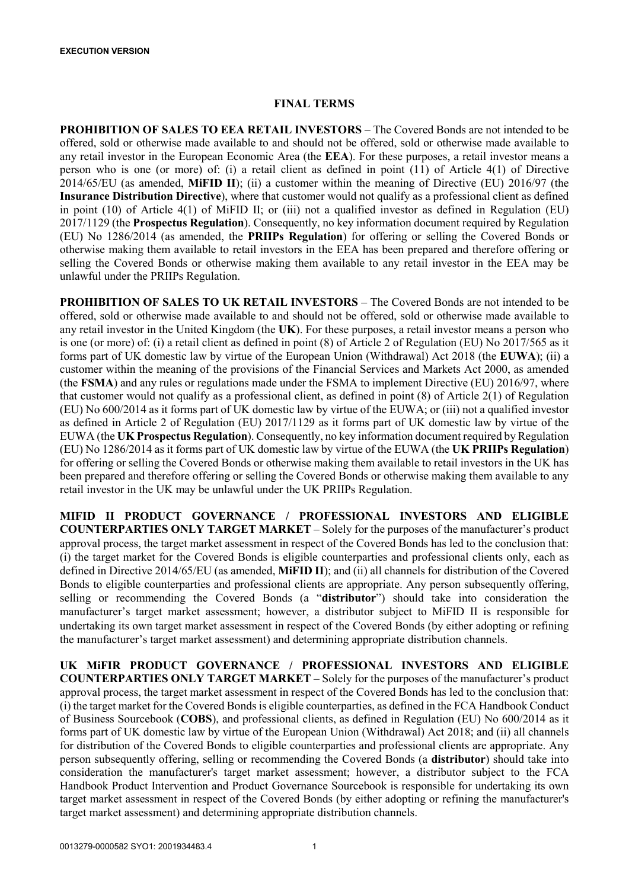# **FINAL TERMS**

**PROHIBITION OF SALES TO EEA RETAIL INVESTORS** – The Covered Bonds are not intended to be offered, sold or otherwise made available to and should not be offered, sold or otherwise made available to any retail investor in the European Economic Area (the **EEA**). For these purposes, a retail investor means a person who is one (or more) of: (i) a retail client as defined in point (11) of Article 4(1) of Directive 2014/65/EU (as amended, **MiFID II**); (ii) a customer within the meaning of Directive (EU) 2016/97 (the **Insurance Distribution Directive**), where that customer would not qualify as a professional client as defined in point (10) of Article 4(1) of MiFID II; or (iii) not a qualified investor as defined in Regulation (EU) 2017/1129 (the **Prospectus Regulation**). Consequently, no key information document required by Regulation (EU) No 1286/2014 (as amended, the **PRIIPs Regulation**) for offering or selling the Covered Bonds or otherwise making them available to retail investors in the EEA has been prepared and therefore offering or selling the Covered Bonds or otherwise making them available to any retail investor in the EEA may be unlawful under the PRIIPs Regulation.

**PROHIBITION OF SALES TO UK RETAIL INVESTORS** – The Covered Bonds are not intended to be offered, sold or otherwise made available to and should not be offered, sold or otherwise made available to any retail investor in the United Kingdom (the **UK**). For these purposes, a retail investor means a person who is one (or more) of: (i) a retail client as defined in point (8) of Article 2 of Regulation (EU) No 2017/565 as it forms part of UK domestic law by virtue of the European Union (Withdrawal) Act 2018 (the **EUWA**); (ii) a customer within the meaning of the provisions of the Financial Services and Markets Act 2000, as amended (the **FSMA**) and any rules or regulations made under the FSMA to implement Directive (EU) 2016/97, where that customer would not qualify as a professional client, as defined in point (8) of Article 2(1) of Regulation (EU) No 600/2014 as it forms part of UK domestic law by virtue of the EUWA; or (iii) not a qualified investor as defined in Article 2 of Regulation (EU) 2017/1129 as it forms part of UK domestic law by virtue of the EUWA (the **UK Prospectus Regulation**). Consequently, no key information document required by Regulation (EU) No 1286/2014 as it forms part of UK domestic law by virtue of the EUWA (the **UK PRIIPs Regulation**) for offering or selling the Covered Bonds or otherwise making them available to retail investors in the UK has been prepared and therefore offering or selling the Covered Bonds or otherwise making them available to any retail investor in the UK may be unlawful under the UK PRIIPs Regulation.

**MIFID II PRODUCT GOVERNANCE / PROFESSIONAL INVESTORS AND ELIGIBLE COUNTERPARTIES ONLY TARGET MARKET** – Solely for the purposes of the manufacturer's product approval process, the target market assessment in respect of the Covered Bonds has led to the conclusion that: (i) the target market for the Covered Bonds is eligible counterparties and professional clients only, each as defined in Directive 2014/65/EU (as amended, **MiFID II**); and (ii) all channels for distribution of the Covered Bonds to eligible counterparties and professional clients are appropriate. Any person subsequently offering, selling or recommending the Covered Bonds (a "**distributor**") should take into consideration the manufacturer's target market assessment; however, a distributor subject to MiFID II is responsible for undertaking its own target market assessment in respect of the Covered Bonds (by either adopting or refining the manufacturer's target market assessment) and determining appropriate distribution channels.

**UK MiFIR PRODUCT GOVERNANCE / PROFESSIONAL INVESTORS AND ELIGIBLE COUNTERPARTIES ONLY TARGET MARKET** – Solely for the purposes of the manufacturer's product approval process, the target market assessment in respect of the Covered Bonds has led to the conclusion that: (i) the target market for the Covered Bonds is eligible counterparties, as defined in the FCA Handbook Conduct of Business Sourcebook (**COBS**), and professional clients, as defined in Regulation (EU) No 600/2014 as it forms part of UK domestic law by virtue of the European Union (Withdrawal) Act 2018; and (ii) all channels for distribution of the Covered Bonds to eligible counterparties and professional clients are appropriate. Any person subsequently offering, selling or recommending the Covered Bonds (a **distributor**) should take into consideration the manufacturer's target market assessment; however, a distributor subject to the FCA Handbook Product Intervention and Product Governance Sourcebook is responsible for undertaking its own target market assessment in respect of the Covered Bonds (by either adopting or refining the manufacturer's target market assessment) and determining appropriate distribution channels.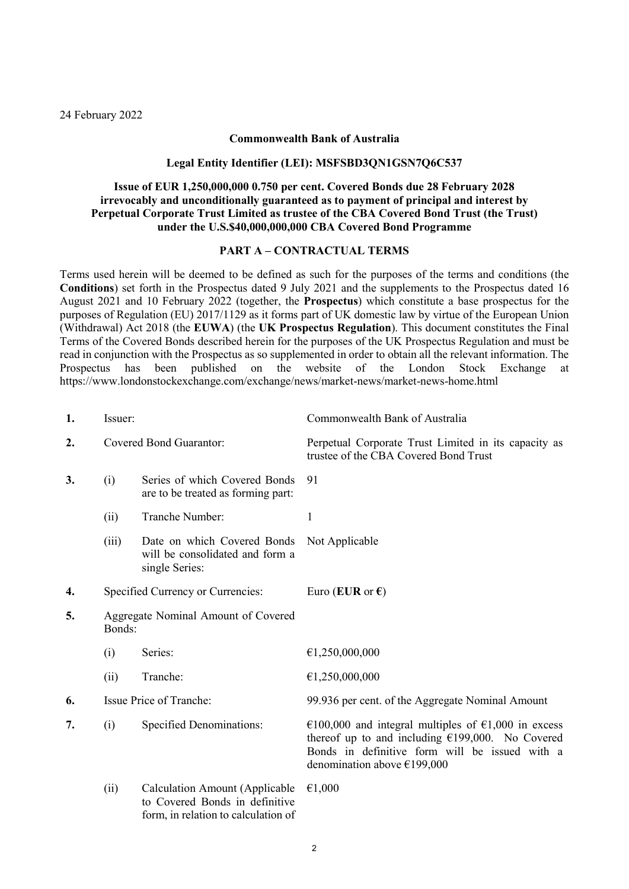#### **Commonwealth Bank of Australia**

#### **Legal Entity Identifier (LEI): MSFSBD3QN1GSN7Q6C537**

## **Issue of EUR 1,250,000,000 0.750 per cent. Covered Bonds due 28 February 2028 irrevocably and unconditionally guaranteed as to payment of principal and interest by Perpetual Corporate Trust Limited as trustee of the CBA Covered Bond Trust (the Trust) under the U.S.\$40,000,000,000 CBA Covered Bond Programme**

#### **PART A – CONTRACTUAL TERMS**

Terms used herein will be deemed to be defined as such for the purposes of the terms and conditions (the **Conditions**) set forth in the Prospectus dated 9 July 2021 and the supplements to the Prospectus dated 16 August 2021 and 10 February 2022 (together, the **Prospectus**) which constitute a base prospectus for the purposes of Regulation (EU) 2017/1129 as it forms part of UK domestic law by virtue of the European Union (Withdrawal) Act 2018 (the **EUWA**) (the **UK Prospectus Regulation**). This document constitutes the Final Terms of the Covered Bonds described herein for the purposes of the UK Prospectus Regulation and must be read in conjunction with the Prospectus as so supplemented in order to obtain all the relevant information. The<br>Prospectus has been published on the website of the London Stock Exchange at Prospectus has been published on the website of the London Stock Exchange at https://www.londonstockexchange.com/exchange/news/market-news/market-news-home.html

| 1. | Issuer:                                       |                                                                                  | Commonwealth Bank of Australia                                                                                                                                                                |  |
|----|-----------------------------------------------|----------------------------------------------------------------------------------|-----------------------------------------------------------------------------------------------------------------------------------------------------------------------------------------------|--|
| 2. | Covered Bond Guarantor:                       |                                                                                  | Perpetual Corporate Trust Limited in its capacity as<br>trustee of the CBA Covered Bond Trust                                                                                                 |  |
| 3. | (i)                                           | Series of which Covered Bonds<br>are to be treated as forming part:              | 91                                                                                                                                                                                            |  |
|    | (ii)                                          | Tranche Number:                                                                  | $\mathbf{1}$                                                                                                                                                                                  |  |
|    | (iii)                                         | Date on which Covered Bonds<br>will be consolidated and form a<br>single Series: | Not Applicable                                                                                                                                                                                |  |
| 4. | Specified Currency or Currencies:             |                                                                                  | Euro (EUR or $\epsilon$ )                                                                                                                                                                     |  |
| 5. | Aggregate Nominal Amount of Covered<br>Bonds: |                                                                                  |                                                                                                                                                                                               |  |
|    | (i)                                           | Series:                                                                          | €1,250,000,000                                                                                                                                                                                |  |
|    | (ii)                                          | Tranche:                                                                         | €1,250,000,000                                                                                                                                                                                |  |
| 6. | Issue Price of Tranche:                       |                                                                                  | 99.936 per cent. of the Aggregate Nominal Amount                                                                                                                                              |  |
| 7. | <b>Specified Denominations:</b><br>(i)        |                                                                                  | €100,000 and integral multiples of €1,000 in excess<br>thereof up to and including $£199,000$ . No Covered<br>Bonds in definitive form will be issued with a<br>denomination above $£199,000$ |  |
|    | (ii)                                          | <b>Calculation Amount (Applicable</b><br>to Covered Bonds in definitive          | €1,000                                                                                                                                                                                        |  |

form, in relation to calculation of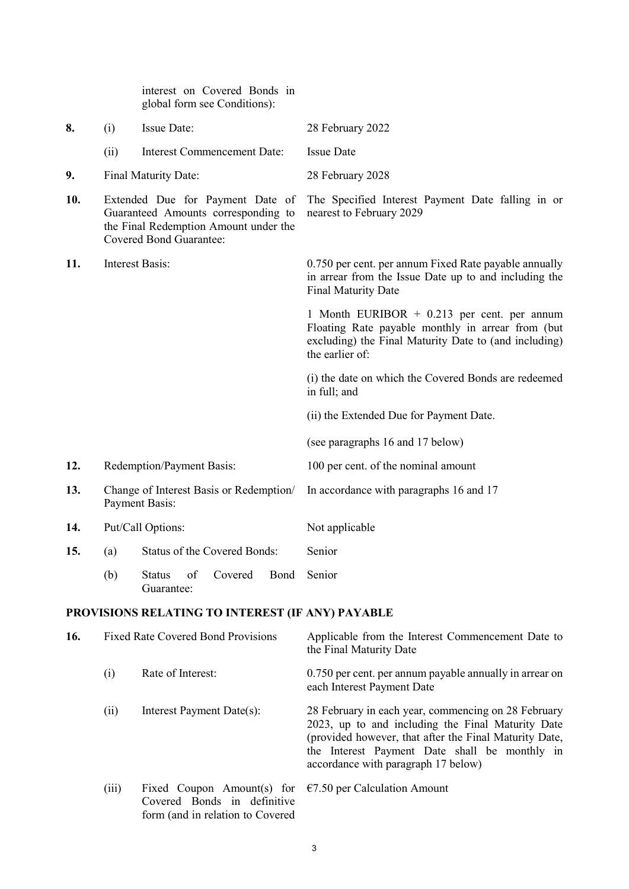interest on Covered Bonds in global form see Conditions): **8.** (i) Issue Date: 28 February 2022 (ii) Interest Commencement Date: Issue Date **9.** Final Maturity Date: 28 February 2028 **10.** Extended Due for Payment Date of Guaranteed Amounts corresponding to the Final Redemption Amount under the Covered Bond Guarantee: The Specified Interest Payment Date falling in or nearest to February 2029 **11.** Interest Basis: 0.750 per cent. per annum Fixed Rate payable annually in arrear from the Issue Date up to and including the Final Maturity Date 1 Month EURIBOR + 0.213 per cent. per annum Floating Rate payable monthly in arrear from (but excluding) the Final Maturity Date to (and including) the earlier of: (i) the date on which the Covered Bonds are redeemed in full; and (ii) the Extended Due for Payment Date. (see paragraphs [16](#page-2-0) and [17 below\)](#page-3-0) **12.** Redemption/Payment Basis: 100 per cent. of the nominal amount **13.** Change of Interest Basis or Redemption/ Payment Basis: In accordance with paragraphs [16](#page-2-0) and [17](#page-3-0) 14. Put/Call Options: Not applicable **15.** (a) Status of the Covered Bonds: Senior (b) Status of Covered Guarantee: Bond Senior **PROVISIONS RELATING TO INTEREST (IF ANY) PAYABLE 16.** Fixed Rate Covered Bond Provisions Applicable from the Interest Commencement Date to the Final Maturity Date (i) Rate of Interest: 0.750 per cent. per annum payable annually in arrear on each Interest Payment Date (ii) Interest Payment Date(s): 28 February in each year, commencing on 28 February 2023, up to and including the Final Maturity Date (provided however, that after the Final Maturity Date, the Interest Payment Date shall be monthly in accordance with paragraph 17 below)

<span id="page-2-0"></span>(iii) Fixed Coupon Amount(s) for  $\epsilon$ 7.50 per Calculation Amount Covered Bonds in definitive form (and in relation to Covered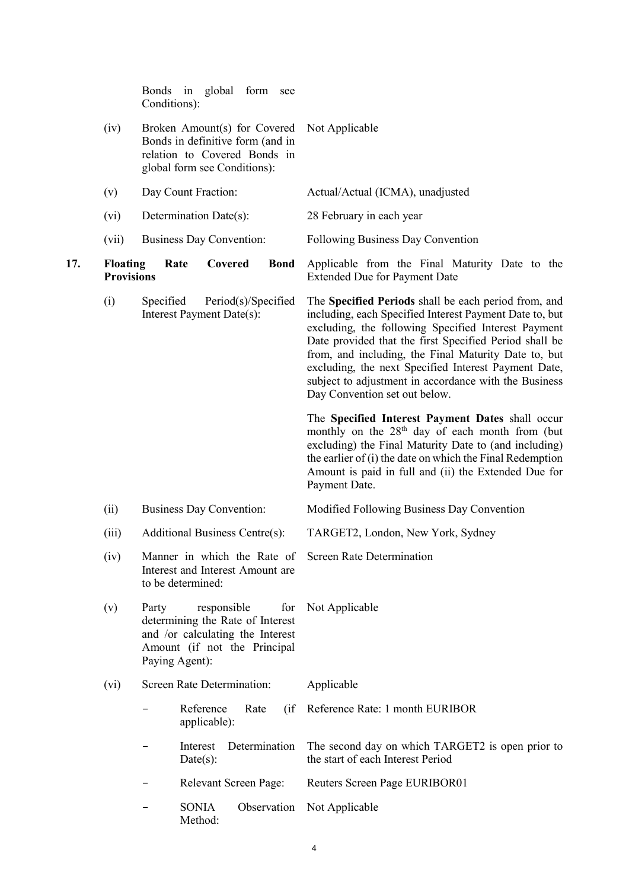<span id="page-3-0"></span>

|     |                                      | Bonds in global<br>form<br>see<br>Conditions):                                                                                                        |                                                                                                                                                                                                                                                                                                                                                                                                                                            |
|-----|--------------------------------------|-------------------------------------------------------------------------------------------------------------------------------------------------------|--------------------------------------------------------------------------------------------------------------------------------------------------------------------------------------------------------------------------------------------------------------------------------------------------------------------------------------------------------------------------------------------------------------------------------------------|
|     | (iv)                                 | Broken Amount(s) for Covered<br>Bonds in definitive form (and in<br>relation to Covered Bonds in<br>global form see Conditions):                      | Not Applicable                                                                                                                                                                                                                                                                                                                                                                                                                             |
|     | (v)                                  | Day Count Fraction:                                                                                                                                   | Actual/Actual (ICMA), unadjusted                                                                                                                                                                                                                                                                                                                                                                                                           |
|     | (vi)                                 | Determination Date(s):                                                                                                                                | 28 February in each year                                                                                                                                                                                                                                                                                                                                                                                                                   |
|     | (vii)                                | <b>Business Day Convention:</b>                                                                                                                       | Following Business Day Convention                                                                                                                                                                                                                                                                                                                                                                                                          |
| 17. | <b>Floating</b><br><b>Provisions</b> | Covered<br>Rate<br><b>Bond</b>                                                                                                                        | Applicable from the Final Maturity Date to the<br><b>Extended Due for Payment Date</b>                                                                                                                                                                                                                                                                                                                                                     |
|     | (i)                                  | Period(s)/Specified<br>Specified<br>Interest Payment Date(s):                                                                                         | The Specified Periods shall be each period from, and<br>including, each Specified Interest Payment Date to, but<br>excluding, the following Specified Interest Payment<br>Date provided that the first Specified Period shall be<br>from, and including, the Final Maturity Date to, but<br>excluding, the next Specified Interest Payment Date,<br>subject to adjustment in accordance with the Business<br>Day Convention set out below. |
|     |                                      |                                                                                                                                                       | The Specified Interest Payment Dates shall occur<br>monthly on the 28 <sup>th</sup> day of each month from (but<br>excluding) the Final Maturity Date to (and including)<br>the earlier of (i) the date on which the Final Redemption<br>Amount is paid in full and (ii) the Extended Due for<br>Payment Date.                                                                                                                             |
|     | (ii)                                 | <b>Business Day Convention:</b>                                                                                                                       | Modified Following Business Day Convention                                                                                                                                                                                                                                                                                                                                                                                                 |
|     | (iii)                                | Additional Business Centre(s):                                                                                                                        | TARGET2, London, New York, Sydney                                                                                                                                                                                                                                                                                                                                                                                                          |
|     | (iv)                                 | Manner in which the Rate of<br>Interest and Interest Amount are<br>to be determined:                                                                  | Screen Rate Determination                                                                                                                                                                                                                                                                                                                                                                                                                  |
|     | (v)                                  | Party<br>responsible<br>for<br>determining the Rate of Interest<br>and /or calculating the Interest<br>Amount (if not the Principal<br>Paying Agent): | Not Applicable                                                                                                                                                                                                                                                                                                                                                                                                                             |
|     | (vi)                                 | Screen Rate Determination:                                                                                                                            | Applicable                                                                                                                                                                                                                                                                                                                                                                                                                                 |
|     |                                      | Reference<br>Rate<br>(iif)<br>applicable):                                                                                                            | Reference Rate: 1 month EURIBOR                                                                                                                                                                                                                                                                                                                                                                                                            |
|     |                                      | Determination<br>Interest<br>Date(s):                                                                                                                 | The second day on which TARGET2 is open prior to<br>the start of each Interest Period                                                                                                                                                                                                                                                                                                                                                      |
|     |                                      | Relevant Screen Page:                                                                                                                                 | Reuters Screen Page EURIBOR01                                                                                                                                                                                                                                                                                                                                                                                                              |
|     |                                      | <b>SONIA</b><br>Observation<br>Method:                                                                                                                | Not Applicable                                                                                                                                                                                                                                                                                                                                                                                                                             |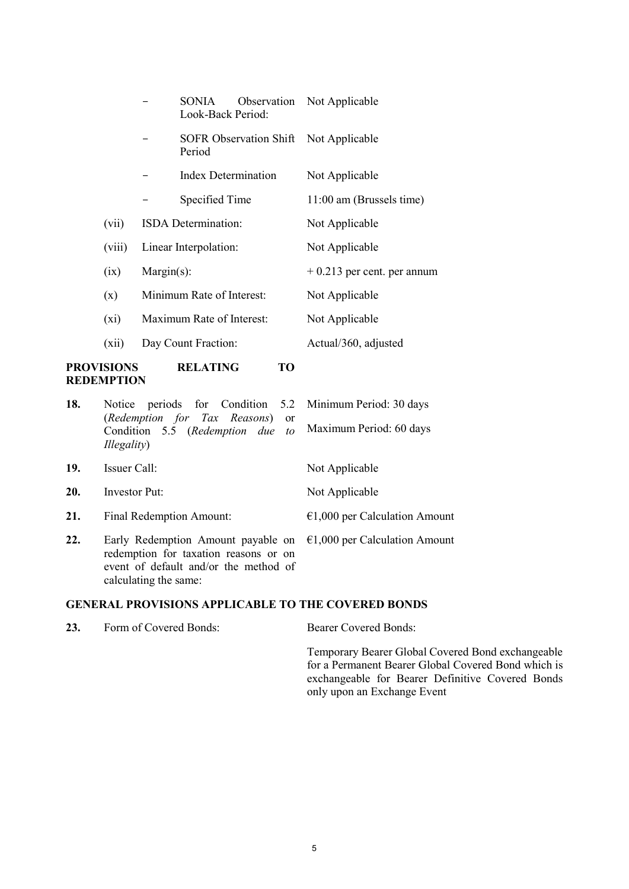| <b>PROVISIONS</b><br><b>RELATING</b><br>TO<br><b>REDEMPTION</b> |         |               |                            |  |                                       |
|-----------------------------------------------------------------|---------|---------------|----------------------------|--|---------------------------------------|
|                                                                 | (xii)   |               | Day Count Fraction:        |  | Actual/360, adjusted                  |
|                                                                 | $(x_i)$ |               | Maximum Rate of Interest:  |  | Not Applicable                        |
|                                                                 | (x)     |               | Minimum Rate of Interest:  |  | Not Applicable                        |
|                                                                 | (ix)    | $Margin(s)$ : |                            |  | $+0.213$ per cent. per annum          |
|                                                                 | (viii)  |               | Linear Interpolation:      |  | Not Applicable                        |
|                                                                 | (vii)   |               | ISDA Determination:        |  | Not Applicable                        |
|                                                                 |         |               | Specified Time             |  | 11:00 am (Brussels time)              |
|                                                                 |         |               | <b>Index Determination</b> |  | Not Applicable                        |
|                                                                 |         |               | Period                     |  | SOFR Observation Shift Not Applicable |
|                                                                 |         |               | SONIA<br>Look-Back Period: |  | Observation Not Applicable            |

| 18. | Notice periods for Condition 5.2 Minimum Period: 30 days<br>(Redemption for Tax Reasons) or                                                                                           |                                 |  |
|-----|---------------------------------------------------------------------------------------------------------------------------------------------------------------------------------------|---------------------------------|--|
|     | Condition 5.5 (Redemption due to<br><i>Illegality</i> )                                                                                                                               | Maximum Period: 60 days         |  |
| 19. | Issuer Call:                                                                                                                                                                          | Not Applicable                  |  |
| 20. | <b>Investor Put:</b>                                                                                                                                                                  | Not Applicable                  |  |
| 21. | Final Redemption Amount:                                                                                                                                                              | $€1,000$ per Calculation Amount |  |
| 22. | Early Redemption Amount payable on $\epsilon$ 1,000 per Calculation Amount<br>redemption for taxation reasons or on<br>event of default and/or the method of<br>calculating the same: |                                 |  |

# **GENERAL PROVISIONS APPLICABLE TO THE COVERED BONDS**

| 23. | Form of Covered Bonds: | <b>Bearer Covered Bonds:</b>                                                                                                                                                                |
|-----|------------------------|---------------------------------------------------------------------------------------------------------------------------------------------------------------------------------------------|
|     |                        | Temporary Bearer Global Covered Bond exchangeable<br>for a Permanent Bearer Global Covered Bond which is<br>exchangeable for Bearer Definitive Covered Bonds<br>only upon an Exchange Event |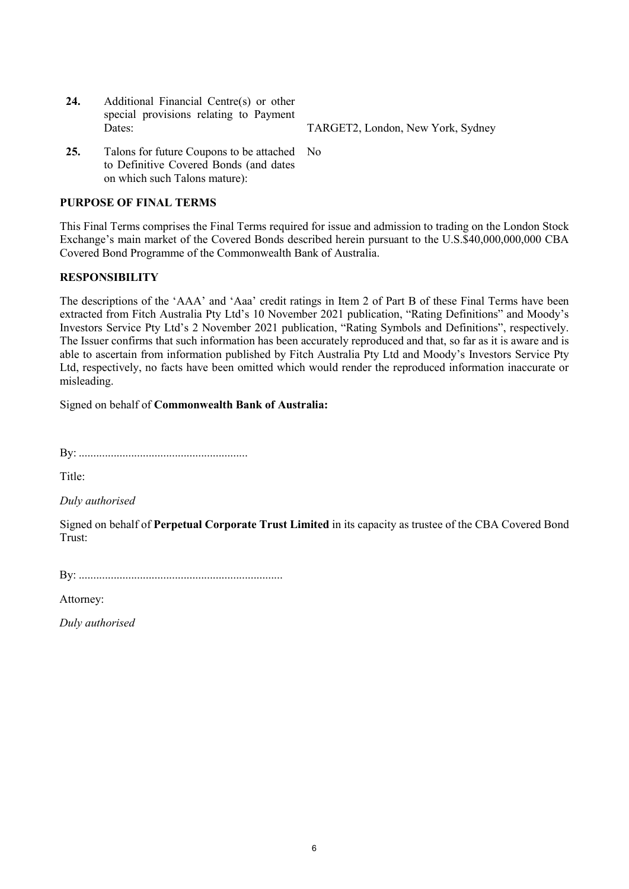**24.** Additional Financial Centre(s) or other special provisions relating to Payment Dates: TARGET2, London, New York, Sydney

**25.** Talons for future Coupons to be attached No to Definitive Covered Bonds (and dates on which such Talons mature):

# **PURPOSE OF FINAL TERMS**

This Final Terms comprises the Final Terms required for issue and admission to trading on the London Stock Exchange's main market of the Covered Bonds described herein pursuant to the U.S.\$40,000,000,000 CBA Covered Bond Programme of the Commonwealth Bank of Australia.

# **RESPONSIBILITY**

The descriptions of the 'AAA' and 'Aaa' credit ratings in Item 2 of Part B of these Final Terms have been extracted from Fitch Australia Pty Ltd's 10 November 2021 publication, "Rating Definitions" and Moody's Investors Service Pty Ltd's 2 November 2021 publication, "Rating Symbols and Definitions", respectively. The Issuer confirms that such information has been accurately reproduced and that, so far as it is aware and is able to ascertain from information published by Fitch Australia Pty Ltd and Moody's Investors Service Pty Ltd, respectively, no facts have been omitted which would render the reproduced information inaccurate or misleading.

Signed on behalf of **Commonwealth Bank of Australia:**

By: ..........................................................

Title:

*Duly authorised*

Signed on behalf of **Perpetual Corporate Trust Limited** in its capacity as trustee of the CBA Covered Bond Trust:

By: ......................................................................

Attorney:

*Duly authorised*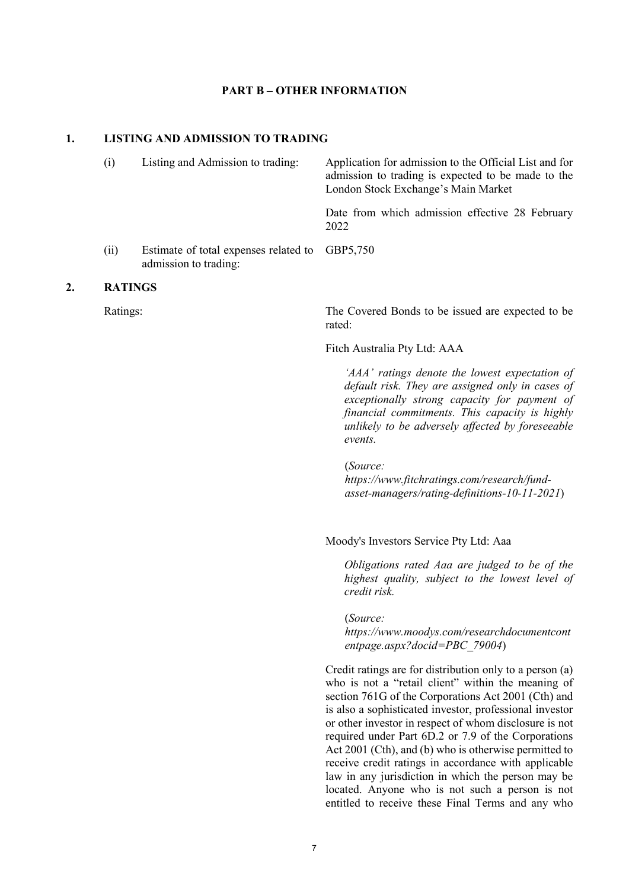#### **PART B – OTHER INFORMATION**

## **1. LISTING AND ADMISSION TO TRADING**

| (i)  | Listing and Admission to trading:                                       | Application for admission to the Official List and for<br>admission to trading is expected to be made to the<br>London Stock Exchange's Main Market |  |  |
|------|-------------------------------------------------------------------------|-----------------------------------------------------------------------------------------------------------------------------------------------------|--|--|
|      |                                                                         | Date from which admission effective 28 February<br>2022                                                                                             |  |  |
| (ii) | Estimate of total expenses related to GBP5,750<br>admission to trading: |                                                                                                                                                     |  |  |

#### **2. RATINGS**

Ratings: The Covered Bonds to be issued are expected to be rated:

Fitch Australia Pty Ltd: AAA

*'AAA' ratings denote the lowest expectation of default risk. They are assigned only in cases of exceptionally strong capacity for payment of financial commitments. This capacity is highly unlikely to be adversely affected by foreseeable events.* 

(*Source: https://www.fitchratings.com/research/fundasset-managers/rating-definitions-10-11-2021*)

Moody's Investors Service Pty Ltd: Aaa

*Obligations rated Aaa are judged to be of the highest quality, subject to the lowest level of credit risk.* 

(*Source: https://www.moodys.com/researchdocumentcont entpage.aspx?docid=PBC\_79004*)

Credit ratings are for distribution only to a person (a) who is not a "retail client" within the meaning of section 761G of the Corporations Act 2001 (Cth) and is also a sophisticated investor, professional investor or other investor in respect of whom disclosure is not required under Part 6D.2 or 7.9 of the Corporations Act 2001 (Cth), and (b) who is otherwise permitted to receive credit ratings in accordance with applicable law in any jurisdiction in which the person may be located. Anyone who is not such a person is not entitled to receive these Final Terms and any who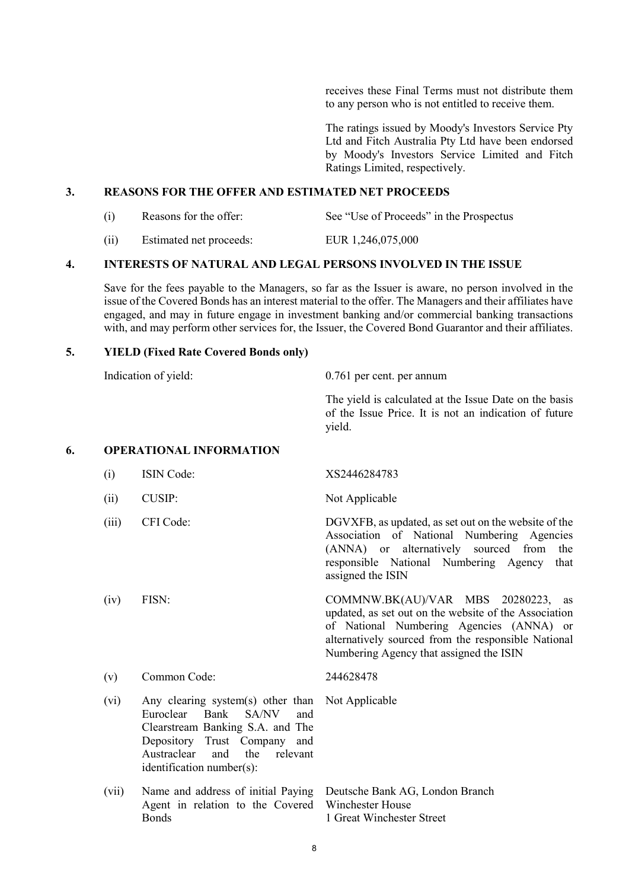receives these Final Terms must not distribute them to any person who is not entitled to receive them.

The ratings issued by Moody's Investors Service Pty Ltd and Fitch Australia Pty Ltd have been endorsed by Moody's Investors Service Limited and Fitch Ratings Limited, respectively.

### **3. REASONS FOR THE OFFER AND ESTIMATED NET PROCEEDS**

- (i) Reasons for the offer: See "Use of Proceeds" in the Prospectus
- (ii) Estimated net proceeds: EUR 1,246,075,000

#### **4. INTERESTS OF NATURAL AND LEGAL PERSONS INVOLVED IN THE ISSUE**

Save for the fees payable to the Managers, so far as the Issuer is aware, no person involved in the issue of the Covered Bonds has an interest material to the offer. The Managers and their affiliates have engaged, and may in future engage in investment banking and/or commercial banking transactions with, and may perform other services for, the Issuer, the Covered Bond Guarantor and their affiliates.

#### **5. YIELD (Fixed Rate Covered Bonds only)**

Indication of yield: 0.761 per cent. per annum

The yield is calculated at the Issue Date on the basis of the Issue Price. It is not an indication of future yield.

#### **6. OPERATIONAL INFORMATION**

- (i) ISIN Code: XS2446284783
- (ii) CUSIP: Not Applicable
- 
- 

(iii) CFI Code: DGVXFB, as updated, as set out on the website of the Association of National Numbering Agencies (ANNA) or alternatively sourced from the responsible National Numbering Agency that assigned the ISIN

(iv) FISN: COMMNW.BK(AU)/VAR MBS 20280223, as updated, as set out on the website of the Association of National Numbering Agencies (ANNA) or alternatively sourced from the responsible National Numbering Agency that assigned the ISIN

- (v) Common Code: 244628478
- (vi) Any clearing system(s) other than Not Applicable Euroclear Bank SA/NV and Clearstream Banking S.A. and The Depository Trust Company and Austraclear and the relevant identification number(s):
- (vii) Name and address of initial Paying Agent in relation to the Covered **B**onds

Deutsche Bank AG, London Branch Winchester House 1 Great Winchester Street